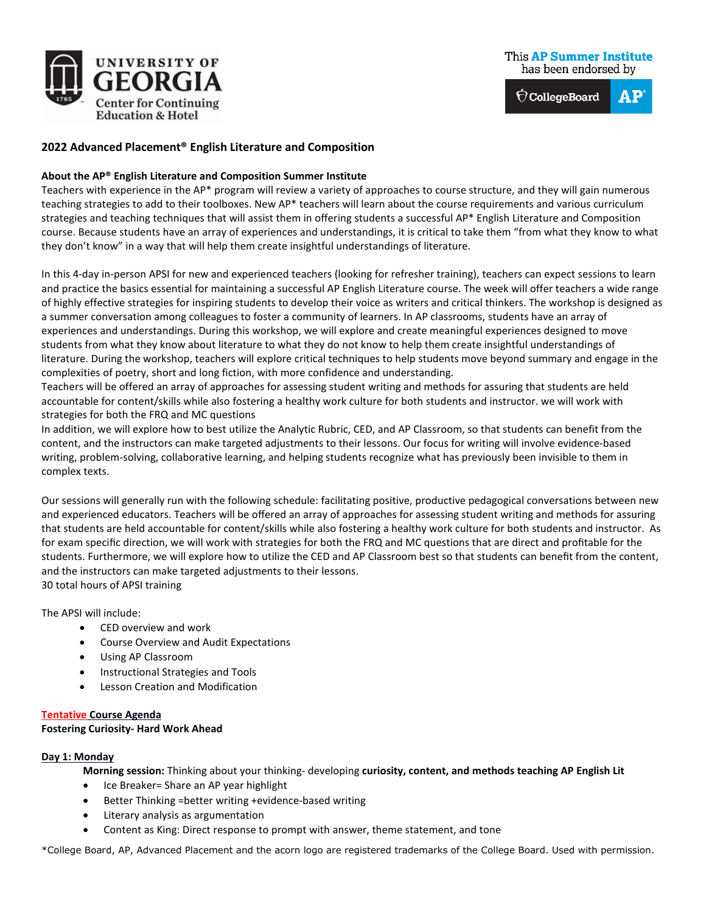

## **This AP Summer Institute** has been endorsed by

 $\hat{\nabla}$ CollegeBoard AP

# **2022 Advanced Placement® English Literature and Composition**

### **About the AP® English Literature and Composition Summer Institute**

Teachers with experience in the AP\* program will review a variety of approaches to course structure, and they will gain numerous teaching strategies to add to their toolboxes. New AP\* teachers will learn about the course requirements and various curriculum strategies and teaching techniques that will assist them in offering students a successful AP\* English Literature and Composition course. Because students have an array of experiences and understandings, it is critical to take them "from what they know to what they don't know" in a way that will help them create insightful understandings of literature.

In this 4-day in-person APSI for new and experienced teachers (looking for refresher training), teachers can expect sessions to learn and practice the basics essential for maintaining a successful AP English Literature course. The week will offer teachers a wide range of highly effective strategies for inspiring students to develop their voice as writers and critical thinkers. The workshop is designed as a summer conversation among colleagues to foster a community of learners. In AP classrooms, students have an array of experiences and understandings. During this workshop, we will explore and create meaningful experiences designed to move students from what they know about literature to what they do not know to help them create insightful understandings of literature. During the workshop, teachers will explore critical techniques to help students move beyond summary and engage in the complexities of poetry, short and long fiction, with more confidence and understanding.

Teachers will be offered an array of approaches for assessing student writing and methods for assuring that students are held accountable for content/skills while also fostering a healthy work culture for both students and instructor. we will work with strategies for both the FRQ and MC questions

In addition, we will explore how to best utilize the Analytic Rubric, CED, and AP Classroom, so that students can benefit from the content, and the instructors can make targeted adjustments to their lessons. Our focus for writing will involve evidence-based writing, problem-solving, collaborative learning, and helping students recognize what has previously been invisible to them in complex texts.

Our sessions will generally run with the following schedule: facilitating positive, productive pedagogical conversations between new and experienced educators. Teachers will be offered an array of approaches for assessing student writing and methods for assuring that students are held accountable for content/skills while also fostering a healthy work culture for both students and instructor. As for exam specific direction, we will work with strategies for both the FRQ and MC questions that are direct and profitable for the students. Furthermore, we will explore how to utilize the CED and AP Classroom best so that students can benefit from the content, and the instructors can make targeted adjustments to their lessons. 30 total hours of APSI training

The APSI will include:

- CED overview and work
- Course Overview and Audit Expectations
- Using AP Classroom
- Instructional Strategies and Tools
- Lesson Creation and Modification

### **Tentative Course Agenda**

### **Fostering Curiosity- Hard Work Ahead**

### **Day 1: Monday**

**Morning session:** Thinking about your thinking- developing **curiosity, content, and methods teaching AP English Lit**

- Ice Breaker= Share an AP year highlight
- Better Thinking =better writing +evidence-based writing
- Literary analysis as argumentation
- Content as King: Direct response to prompt with answer, theme statement, and tone

\*College Board, AP, Advanced Placement and the acorn logo are registered trademarks of the College Board. Used with permission.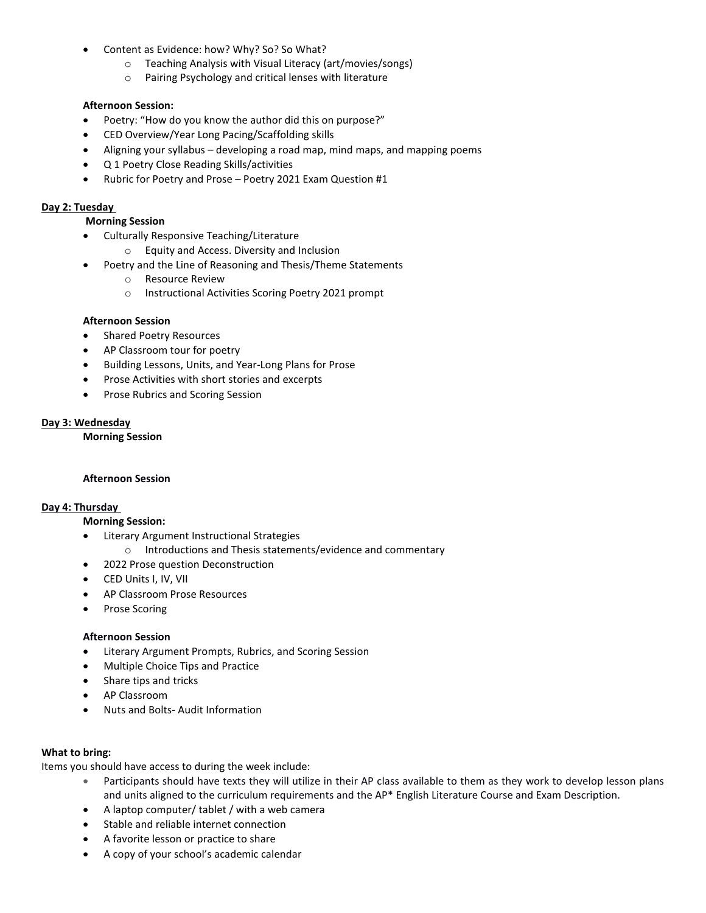- Content as Evidence: how? Why? So? So What?
	- $\circ$  Teaching Analysis with Visual Literacy (art/movies/songs)<br>  $\circ$  Pairing Psychology and critical lenses with literature
	- Pairing Psychology and critical lenses with literature

## **Afternoon Session:**

- Poetry: "How do you know the author did this on purpose?"
- CED Overview/Year Long Pacing/Scaffolding skills
- Aligning your syllabus developing a road map, mind maps, and mapping poems
- Q 1 Poetry Close Reading Skills/activities
- Rubric for Poetry and Prose Poetry 2021 Exam Question #1

### **Day 2: Tuesday**

### **Morning Session**

- Culturally Responsive Teaching/Literature
	- o Equity and Access. Diversity and Inclusion
- Poetry and the Line of Reasoning and Thesis/Theme Statements
	- o Resource Review
	- o Instructional Activities Scoring Poetry 2021 prompt

### **Afternoon Session**

- Shared Poetry Resources
- AP Classroom tour for poetry
- Building Lessons, Units, and Year-Long Plans for Prose
- Prose Activities with short stories and excerpts
- Prose Rubrics and Scoring Session

### **Day 3: Wednesday**

**Morning Session**

### **Afternoon Session**

### **Day 4: Thursday**

### **Morning Session:**

- Literary Argument Instructional Strategies
	- o Introductions and Thesis statements/evidence and commentary
- 2022 Prose question Deconstruction
- CED Units I, IV, VII
- AP Classroom Prose Resources
- Prose Scoring

### **Afternoon Session**

- Literary Argument Prompts, Rubrics, and Scoring Session
- Multiple Choice Tips and Practice
- Share tips and tricks
- AP Classroom
- Nuts and Bolts- Audit Information

### **What to bring:**

Items you should have access to during the week include:

- Participants should have texts they will utilize in their AP class available to them as they work to develop lesson plans and units aligned to the curriculum requirements and the AP\* English Literature Course and Exam Description.
- A laptop computer/ tablet / with a web camera
- Stable and reliable internet connection
- A favorite lesson or practice to share
- A copy of your school's academic calendar